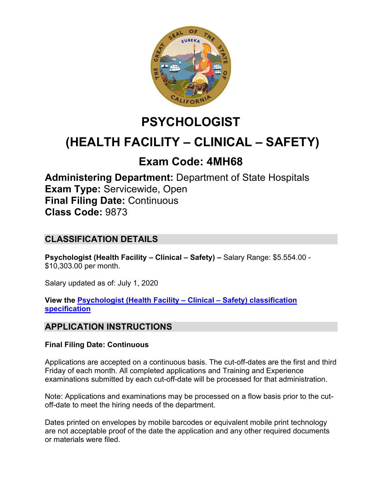

# **PSYCHOLOGIST**

# **(HEALTH FACILITY – CLINICAL – SAFETY)**

## **Exam Code: 4MH68**

**Administering Department:** Department of State Hospitals **Exam Type:** Servicewide, Open **Final Filing Date:** Continuous **Class Code:** 9873

## **CLASSIFICATION DETAILS**

**Psychologist (Health Facility – Clinical – Safety) –** Salary Range: \$5.554.00 - \$10,303.00 per month.

Salary updated as of: July 1, 2020

**View the [Psychologist \(Health Facility –](https://www.calhr.ca.gov/state-hr-professionals/pages/9873.aspx) Clinical – Safety) classification [specification](https://www.calhr.ca.gov/state-hr-professionals/pages/9873.aspx)**

## **APPLICATION INSTRUCTIONS**

#### **Final Filing Date: Continuous**

Applications are accepted on a continuous basis. The cut-off-dates are the first and third Friday of each month. All completed applications and Training and Experience examinations submitted by each cut-off-date will be processed for that administration.

Note: Applications and examinations may be processed on a flow basis prior to the cutoff-date to meet the hiring needs of the department.

Dates printed on envelopes by mobile barcodes or equivalent mobile print technology are not acceptable proof of the date the application and any other required documents or materials were filed.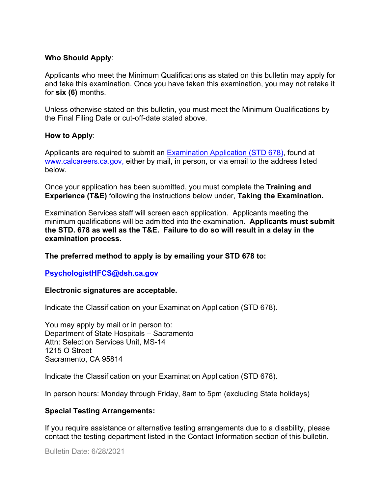#### **Who Should Apply**:

Applicants who meet the Minimum Qualifications as stated on this bulletin may apply for and take this examination. Once you have taken this examination, you may not retake it for **six (6)** months.

Unless otherwise stated on this bulletin, you must meet the Minimum Qualifications by the Final Filing Date or cut-off-date stated above.

#### **How to Apply**:

Applicants are required to submit an [Examination Application \(STD 678\),](https://jobs.ca.gov/pdf/std678.pdf) found at [www.calcareers.ca.gov,](http://www.calcareers.ca.gov/) either by mail, in person, or via email to the address listed below.

Once your application has been submitted, you must complete the **Training and Experience (T&E)** following the instructions below under, **Taking the Examination.**

Examination Services staff will screen each application. Applicants meeting the minimum qualifications will be admitted into the examination. **Applicants must submit the STD. 678 as well as the T&E. Failure to do so will result in a delay in the examination process.**

#### **The preferred method to apply is by emailing your STD 678 to:**

#### **[PsychologistHFCS@dsh.ca.gov](mailto:PsychologistHFCS@dsh.ca.gov)**

#### **Electronic signatures are acceptable.**

Indicate the Classification on your Examination Application (STD 678).

You may apply by mail or in person to: Department of State Hospitals – Sacramento Attn: Selection Services Unit, MS-14 1215 O Street Sacramento, CA 95814

Indicate the Classification on your Examination Application (STD 678).

In person hours: Monday through Friday, 8am to 5pm (excluding State holidays)

#### **Special Testing Arrangements:**

If you require assistance or alternative testing arrangements due to a disability, please contact the testing department listed in the Contact Information section of this bulletin.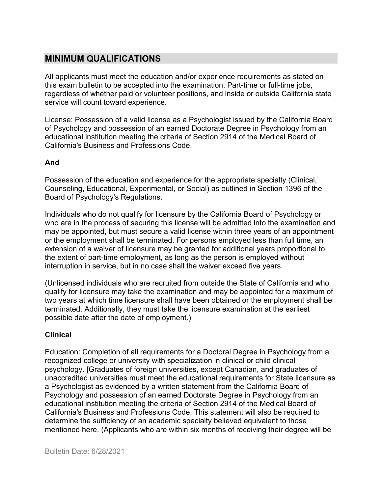## **MINIMUM QUALIFICATIONS**

All applicants must meet the education and/or experience requirements as stated on this exam bulletin to be accepted into the examination. Part-time or full-time jobs, regardless of whether paid or volunteer positions, and inside or outside California state service will count toward experience.

License: Possession of a valid license as a Psychologist issued by the California Board of Psychology and possession of an earned Doctorate Degree in Psychology from an educational institution meeting the criteria of Section 2914 of the Medical Board of California's Business and Professions Code.

#### **And**

Possession of the education and experience for the appropriate specialty (Clinical, Counseling, Educational, Experimental, or Social) as outlined in Section 1396 of the Board of Psychology's Regulations.

Individuals who do not qualify for licensure by the California Board of Psychology or who are in the process of securing this license will be admitted into the examination and may be appointed, but must secure a valid license within three years of an appointment or the employment shall be terminated. For persons employed less than full time, an extension of a waiver of licensure may be granted for additional years proportional to the extent of part-time employment, as long as the person is employed without interruption in service, but in no case shall the waiver exceed five years.

(Unlicensed individuals who are recruited from outside the State of California and who qualify for licensure may take the examination and may be appointed for a maximum of two years at which time licensure shall have been obtained or the employment shall be terminated. Additionally, they must take the licensure examination at the earliest possible date after the date of employment.)

#### **Clinical**

Education: Completion of all requirements for a Doctoral Degree in Psychology from a recognized college or university with specialization in clinical or child clinical psychology. [Graduates of foreign universities, except Canadian, and graduates of unaccredited universities must meet the educational requirements for State licensure as a Psychologist as evidenced by a written statement from the California Board of Psychology and possession of an earned Doctorate Degree in Psychology from an educational institution meeting the criteria of Section 2914 of the Medical Board of California's Business and Professions Code. This statement will also be required to determine the sufficiency of an academic specialty believed equivalent to those mentioned here. (Applicants who are within six months of receiving their degree will be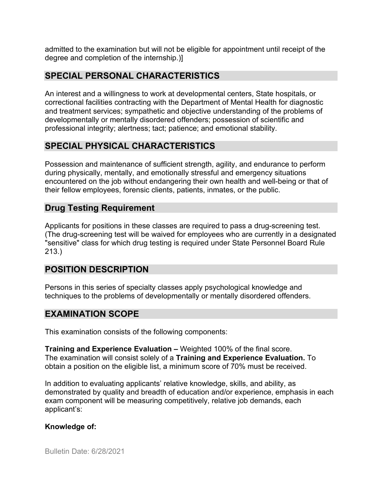admitted to the examination but will not be eligible for appointment until receipt of the degree and completion of the internship.)]

## **SPECIAL PERSONAL CHARACTERISTICS**

An interest and a willingness to work at developmental centers, State hospitals, or correctional facilities contracting with the Department of Mental Health for diagnostic and treatment services; sympathetic and objective understanding of the problems of developmentally or mentally disordered offenders; possession of scientific and professional integrity; alertness; tact; patience; and emotional stability.

## **SPECIAL PHYSICAL CHARACTERISTICS**

Possession and maintenance of sufficient strength, agility, and endurance to perform during physically, mentally, and emotionally stressful and emergency situations encountered on the job without endangering their own health and well-being or that of their fellow employees, forensic clients, patients, inmates, or the public.

## **Drug Testing Requirement**

Applicants for positions in these classes are required to pass a drug-screening test. (The drug-screening test will be waived for employees who are currently in a designated "sensitive" class for which drug testing is required under State Personnel Board Rule 213.)

## **POSITION DESCRIPTION**

Persons in this series of specialty classes apply psychological knowledge and techniques to the problems of developmentally or mentally disordered offenders.

## **EXAMINATION SCOPE**

This examination consists of the following components:

**Training and Experience Evaluation –** Weighted 100% of the final score. The examination will consist solely of a **Training and Experience Evaluation.** To obtain a position on the eligible list, a minimum score of 70% must be received.

In addition to evaluating applicants' relative knowledge, skills, and ability, as demonstrated by quality and breadth of education and/or experience, emphasis in each exam component will be measuring competitively, relative job demands, each applicant's:

#### **Knowledge of:**

Bulletin Date: 6/28/2021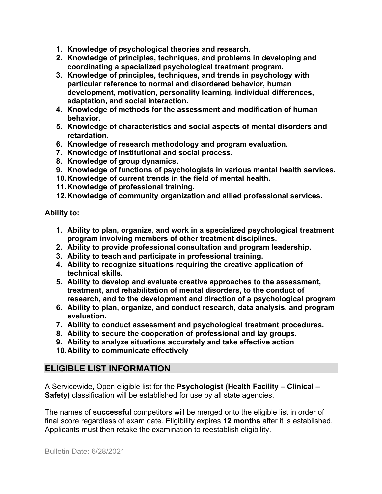- **1. Knowledge of psychological theories and research.**
- **2. Knowledge of principles, techniques, and problems in developing and coordinating a specialized psychological treatment program.**
- **3. Knowledge of principles, techniques, and trends in psychology with particular reference to normal and disordered behavior, human development, motivation, personality learning, individual differences, adaptation, and social interaction.**
- **4. Knowledge of methods for the assessment and modification of human behavior.**
- **5. Knowledge of characteristics and social aspects of mental disorders and retardation.**
- **6. Knowledge of research methodology and program evaluation.**
- **7. Knowledge of institutional and social process.**
- **8. Knowledge of group dynamics.**
- **9. Knowledge of functions of psychologists in various mental health services.**
- **10.Knowledge of current trends in the field of mental health.**
- **11.Knowledge of professional training.**
- **12.Knowledge of community organization and allied professional services.**

#### **Ability to:**

- **1. Ability to plan, organize, and work in a specialized psychological treatment program involving members of other treatment disciplines.**
- **2. Ability to provide professional consultation and program leadership.**
- **3. Ability to teach and participate in professional training.**
- **4. Ability to recognize situations requiring the creative application of technical skills.**
- **5. Ability to develop and evaluate creative approaches to the assessment, treatment, and rehabilitation of mental disorders, to the conduct of research, and to the development and direction of a psychological program**
- **6. Ability to plan, organize, and conduct research, data analysis, and program evaluation.**
- **7. Ability to conduct assessment and psychological treatment procedures.**
- **8. Ability to secure the cooperation of professional and lay groups.**
- **9. Ability to analyze situations accurately and take effective action**
- **10.Ability to communicate effectively**

## **ELIGIBLE LIST INFORMATION**

A Servicewide, Open eligible list for the **Psychologist (Health Facility – Clinical – Safety)** classification will be established for use by all state agencies.

The names of **successful** competitors will be merged onto the eligible list in order of final score regardless of exam date. Eligibility expires **12 months** after it is established. Applicants must then retake the examination to reestablish eligibility.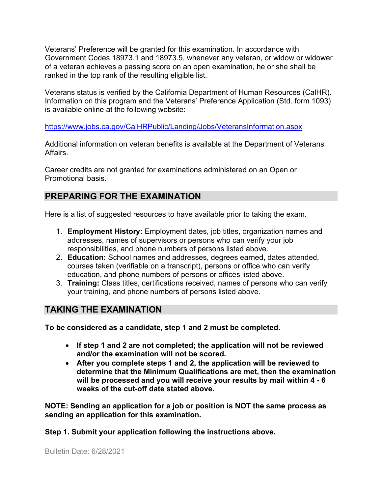Veterans' Preference will be granted for this examination. In accordance with Government Codes 18973.1 and 18973.5, whenever any veteran, or widow or widower of a veteran achieves a passing score on an open examination, he or she shall be ranked in the top rank of the resulting eligible list.

Veterans status is verified by the California Department of Human Resources (CalHR). Information on this program and the Veterans' Preference Application (Std. form 1093) is available online at the following website:

<https://www.jobs.ca.gov/CalHRPublic/Landing/Jobs/VeteransInformation.aspx>

Additional information on veteran benefits is available at the Department of Veterans Affairs.

Career credits are not granted for examinations administered on an Open or Promotional basis.

## **PREPARING FOR THE EXAMINATION**

Here is a list of suggested resources to have available prior to taking the exam.

- 1. **Employment History:** Employment dates, job titles, organization names and addresses, names of supervisors or persons who can verify your job responsibilities, and phone numbers of persons listed above.
- 2. **Education:** School names and addresses, degrees earned, dates attended, courses taken (verifiable on a transcript), persons or office who can verify education, and phone numbers of persons or offices listed above.
- 3. **Training:** Class titles, certifications received, names of persons who can verify your training, and phone numbers of persons listed above.

## **TAKING THE EXAMINATION**

**To be considered as a candidate, step 1 and 2 must be completed.**

- **If step 1 and 2 are not completed; the application will not be reviewed and/or the examination will not be scored.**
- **After you complete steps 1 and 2, the application will be reviewed to determine that the Minimum Qualifications are met, then the examination will be processed and you will receive your results by mail within 4 - 6 weeks of the cut-off date stated above.**

**NOTE: Sending an application for a job or position is NOT the same process as sending an application for this examination.**

**Step 1. Submit your application following the instructions above.**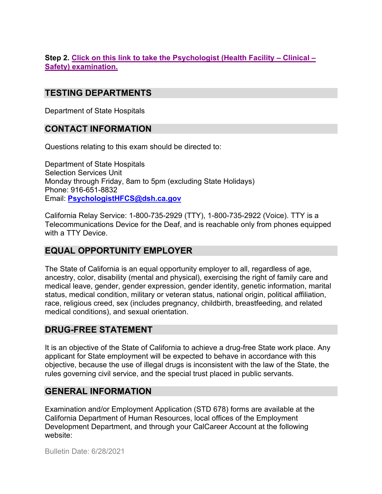#### **Step 2. Click on this link to [take the Psychologist \(Health Facility –](https://www.surveymonkey.com/r/NJ2ZJYN) Clinical – [Safety\) examination.](https://www.surveymonkey.com/r/NJ2ZJYN)**

## **TESTING DEPARTMENTS**

Department of State Hospitals

## **CONTACT INFORMATION**

Questions relating to this exam should be directed to:

Department of State Hospitals Selection Services Unit Monday through Friday, 8am to 5pm (excluding State Holidays) Phone: 916-651-8832 Email: **[PsychologistHFCS@dsh.ca.gov](mailto:PsychologistHFCS@dsh.ca.gov)**

California Relay Service: 1-800-735-2929 (TTY), 1-800-735-2922 (Voice). TTY is a Telecommunications Device for the Deaf, and is reachable only from phones equipped with a TTY Device.

## **EQUAL OPPORTUNITY EMPLOYER**

The State of California is an equal opportunity employer to all, regardless of age, ancestry, color, disability (mental and physical), exercising the right of family care and medical leave, gender, gender expression, gender identity, genetic information, marital status, medical condition, military or veteran status, national origin, political affiliation, race, religious creed, sex (includes pregnancy, childbirth, breastfeeding, and related medical conditions), and sexual orientation.

## **DRUG-FREE STATEMENT**

It is an objective of the State of California to achieve a drug-free State work place. Any applicant for State employment will be expected to behave in accordance with this objective, because the use of illegal drugs is inconsistent with the law of the State, the rules governing civil service, and the special trust placed in public servants.

## **GENERAL INFORMATION**

Examination and/or Employment Application (STD 678) forms are available at the California Department of Human Resources, local offices of the Employment Development Department, and through your CalCareer Account at the following website:

Bulletin Date: 6/28/2021